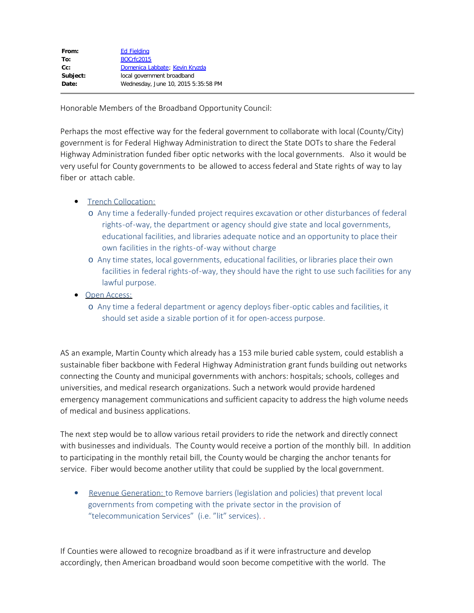| From:    | <b>Ed Fielding</b>                  |
|----------|-------------------------------------|
| To:      | <b>BOCrfc2015</b>                   |
| $Cc$ :   | Domenica Labbate; Kevin Kryzda      |
| Subject: | local government broadband          |
| Date:    | Wednesday, June 10, 2015 5:35:58 PM |
|          |                                     |

Honorable Members of the Broadband Opportunity Council:

Perhaps the most effective way for the federal government to collaborate with local (County/City) government is for Federal Highway Administration to direct the State DOTs to share the Federal Highway Administration funded fiber optic networks with the local governments. Also it would be very useful for County governments to be allowed to access federal and State rights of way to lay fiber or attach cable.

- · Trench Collocation:
	- o Any time a federally-funded project requires excavation or other disturbances of federal rights-of-way, the department or agency should give state and local governments, educational facilities, and libraries adequate notice and an opportunity to place their own facilities in the rights-of-way without charge
	- o Any time states, local governments, educational facilities, or libraries place their own facilities in federal rights-of-way, they should have the right to use such facilities for any lawful purpose.
- · Open Access:
	- o Any time a federal department or agency deploys fiber-optic cables and facilities, it should set aside a sizable portion of it for open-access purpose.

AS an example, Martin County which already has a 153 mile buried cable system, could establish a sustainable fiber backbone with Federal Highway Administration grant funds building out networks connecting the County and municipal governments with anchors: hospitals; schools, colleges and universities, and medical research organizations. Such a network would provide hardened emergency management communications and sufficient capacity to address the high volume needs of medical and business applications.

The next step would be to allow various retail providers to ride the network and directly connect with businesses and individuals. The County would receive a portion of the monthly bill. In addition to participating in the monthly retail bill, the County would be charging the anchor tenants for service. Fiber would become another utility that could be supplied by the local government.

• Revenue Generation: to Remove barriers (legislation and policies) that prevent local governments from competing with the private sector in the provision of "telecommunication Services" (i.e. "lit" services). *.*

If Counties were allowed to recognize broadband as if it were infrastructure and develop accordingly, then American broadband would soon become competitive with the world. The